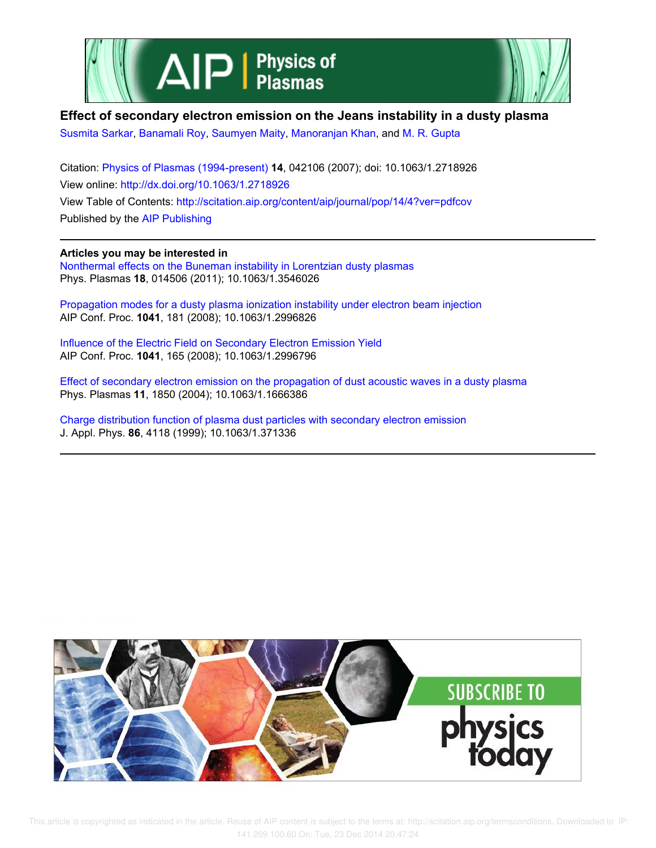



# **Effect of secondary electron emission on the Jeans instability in a dusty plasma**

Susmita Sarkar, Banamali Roy, Saumyen Maity, Manoranjan Khan, and M. R. Gupta

Citation: Physics of Plasmas (1994-present) **14**, 042106 (2007); doi: 10.1063/1.2718926 View online: http://dx.doi.org/10.1063/1.2718926 View Table of Contents: http://scitation.aip.org/content/aip/journal/pop/14/4?ver=pdfcov Published by the AIP Publishing

**Articles you may be interested in** Nonthermal effects on the Buneman instability in Lorentzian dusty plasmas Phys. Plasmas **18**, 014506 (2011); 10.1063/1.3546026

Propagation modes for a dusty plasma ionization instability under electron beam injection AIP Conf. Proc. **1041**, 181 (2008); 10.1063/1.2996826

Influence of the Electric Field on Secondary Electron Emission Yield AIP Conf. Proc. **1041**, 165 (2008); 10.1063/1.2996796

Effect of secondary electron emission on the propagation of dust acoustic waves in a dusty plasma Phys. Plasmas **11**, 1850 (2004); 10.1063/1.1666386

Charge distribution function of plasma dust particles with secondary electron emission J. Appl. Phys. **86**, 4118 (1999); 10.1063/1.371336



 This article is copyrighted as indicated in the article. Reuse of AIP content is subject to the terms at: http://scitation.aip.org/termsconditions. Downloaded to IP: 141.209.100.60 On: Tue, 23 Dec 2014 20:47:24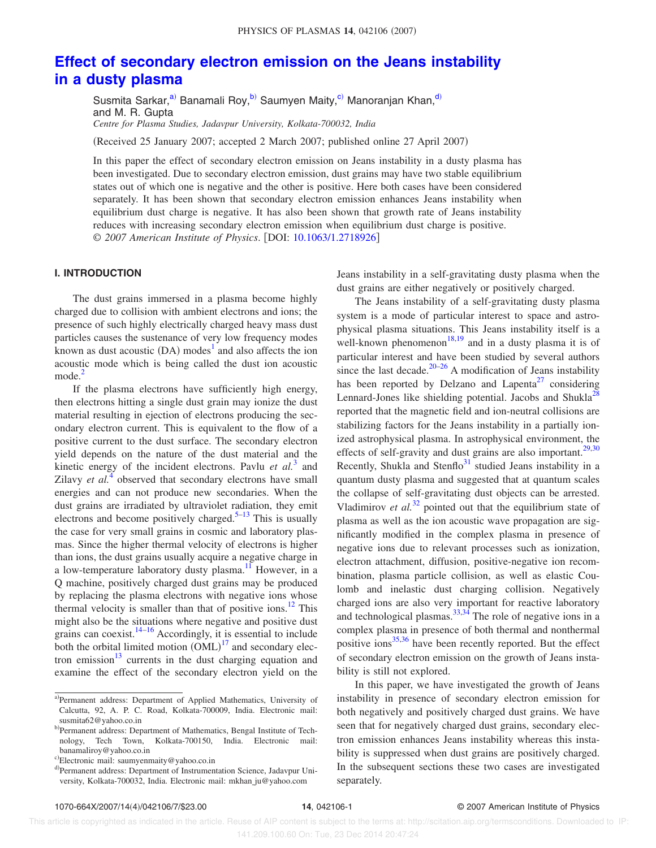# **Effect of secondary electron emission on the Jeans instability in a dusty plasma**

Susmita Sarkar,<sup>a)</sup> Banamali Roy,<sup>b)</sup> Saumyen Maity,<sup>c)</sup> Manoranjan Khan,<sup>d)</sup> and M. R. Gupta *Centre for Plasma Studies, Jadavpur University, Kolkata-700032, India*

(Received 25 January 2007; accepted 2 March 2007; published online 27 April 2007)

In this paper the effect of secondary electron emission on Jeans instability in a dusty plasma has been investigated. Due to secondary electron emission, dust grains may have two stable equilibrium states out of which one is negative and the other is positive. Here both cases have been considered separately. It has been shown that secondary electron emission enhances Jeans instability when equilibrium dust charge is negative. It has also been shown that growth rate of Jeans instability reduces with increasing secondary electron emission when equilibrium dust charge is positive. © *2007 American Institute of Physics*. DOI: 10.1063/1.2718926

# **I. INTRODUCTION**

The dust grains immersed in a plasma become highly charged due to collision with ambient electrons and ions; the presence of such highly electrically charged heavy mass dust particles causes the sustenance of very low frequency modes known as dust acoustic  $(DA)$  modes<sup>1</sup> and also affects the ion acoustic mode which is being called the dust ion acoustic  $mode.<sup>2</sup>$ 

If the plasma electrons have sufficiently high energy, then electrons hitting a single dust grain may ionize the dust material resulting in ejection of electrons producing the secondary electron current. This is equivalent to the flow of a positive current to the dust surface. The secondary electron yield depends on the nature of the dust material and the kinetic energy of the incident electrons. Pavlu *et al.*<sup>3</sup> and Zilavy *et al.*<sup> $\overline{4}$ </sup> observed that secondary electrons have small energies and can not produce new secondaries. When the dust grains are irradiated by ultraviolet radiation, they emit electrons and become positively charged.<sup>5–13</sup> This is usually the case for very small grains in cosmic and laboratory plasmas. Since the higher thermal velocity of electrons is higher than ions, the dust grains usually acquire a negative charge in a low-temperature laboratory dusty plasma.<sup>11</sup> However, in a Q machine, positively charged dust grains may be produced by replacing the plasma electrons with negative ions whose thermal velocity is smaller than that of positive ions.<sup>12</sup> This might also be the situations where negative and positive dust grains can coexist.<sup>14–16</sup> Accordingly, it is essential to include both the orbital limited motion  $(OML)^{17}$  and secondary electron emission $13$  currents in the dust charging equation and examine the effect of the secondary electron yield on the Jeans instability in a self-gravitating dusty plasma when the dust grains are either negatively or positively charged.

The Jeans instability of a self-gravitating dusty plasma system is a mode of particular interest to space and astrophysical plasma situations. This Jeans instability itself is a well-known phenomenon<sup>18,19</sup> and in a dusty plasma it is of particular interest and have been studied by several authors since the last decade.<sup>20–26</sup> A modification of Jeans instability has been reported by Delzano and Lapenta<sup>27</sup> considering Lennard-Jones like shielding potential. Jacobs and Shukla<sup>28</sup> reported that the magnetic field and ion-neutral collisions are stabilizing factors for the Jeans instability in a partially ionized astrophysical plasma. In astrophysical environment, the effects of self-gravity and dust grains are also important.<sup>29,30</sup> Recently, Shukla and Stenflo $31$  studied Jeans instability in a quantum dusty plasma and suggested that at quantum scales the collapse of self-gravitating dust objects can be arrested. Vladimirov *et al.*<sup>32</sup> pointed out that the equilibrium state of plasma as well as the ion acoustic wave propagation are significantly modified in the complex plasma in presence of negative ions due to relevant processes such as ionization, electron attachment, diffusion, positive-negative ion recombination, plasma particle collision, as well as elastic Coulomb and inelastic dust charging collision. Negatively charged ions are also very important for reactive laboratory and technological plasmas. $33,34$  The role of negative ions in a complex plasma in presence of both thermal and nonthermal positive ions $35,36$  have been recently reported. But the effect of secondary electron emission on the growth of Jeans instability is still not explored.

In this paper, we have investigated the growth of Jeans instability in presence of secondary electron emission for both negatively and positively charged dust grains. We have seen that for negatively charged dust grains, secondary electron emission enhances Jeans instability whereas this instability is suppressed when dust grains are positively charged. In the subsequent sections these two cases are investigated separately.

a)Permanent address: Department of Applied Mathematics, University of Calcutta, 92, A. P. C. Road, Kolkata-700009, India. Electronic mail: susmita62@yahoo.co.in

b)Permanent address: Department of Mathematics, Bengal Institute of Technology, Tech Town, Kolkata-700150, India. Electronic mail: banamaliroy@yahoo.co.in

c)Electronic mail: saumyenmaity@yahoo.co.in

d)Permanent address: Department of Instrumentation Science, Jadavpur University, Kolkata-700032, India. Electronic mail: mkhan ju@yahoo.com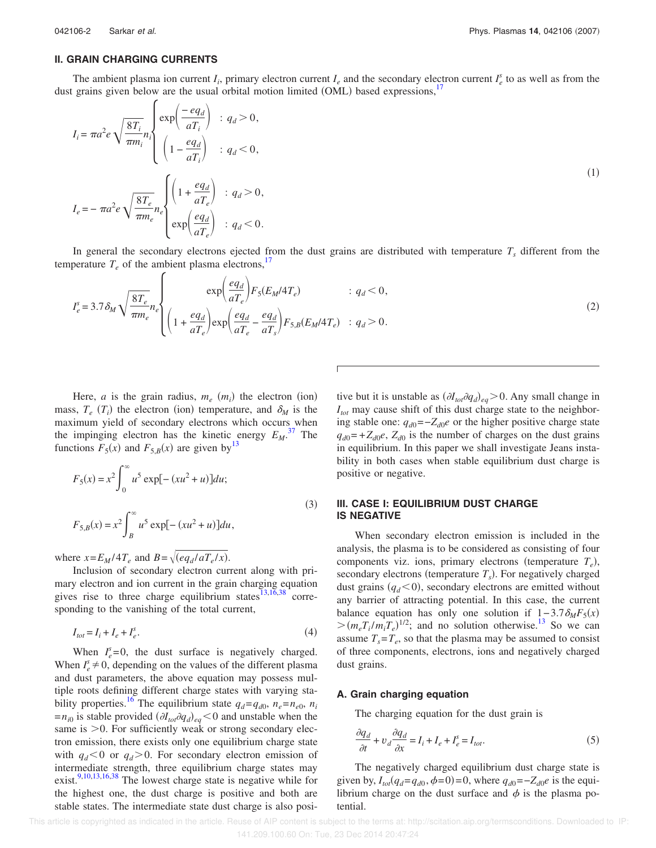# **II. GRAIN CHARGING CURRENTS**

The ambient plasma ion current  $I_i$ , primary electron current  $I_e$  and the secondary electron current  $I_e^s$  to as well as from the dust grains given below are the usual orbital motion limited (OML) based expressions,<sup>17</sup>

$$
I_{i} = \pi a^{2} e \sqrt{\frac{8T_{i}}{\pi m_{i}}} n_{i} \begin{cases} \exp\left(\frac{-eq_{d}}{aT_{i}}\right) & : q_{d} > 0, \\ \left(1 - \frac{eq_{d}}{aT_{i}}\right) & : q_{d} < 0, \end{cases}
$$
\n
$$
I_{e} = -\pi a^{2} e \sqrt{\frac{8T_{e}}{\pi m_{e}}} n_{e} \begin{cases} \left(1 + \frac{eq_{d}}{aT_{e}}\right) & : q_{d} > 0, \\ \exp\left(\frac{eq_{d}}{aT_{e}}\right) & : q_{d} < 0. \end{cases}
$$
\n
$$
(1)
$$

In general the secondary electrons ejected from the dust grains are distributed with temperature  $T_s$  different from the temperature  $T_e$  of the ambient plasma electrons,<sup>17</sup>

$$
I_e^s = 3.7 \delta_M \sqrt{\frac{8T_e}{\pi m_e}} n_e \begin{cases} \exp\left(\frac{eq_d}{aT_e}\right) F_5(E_M/4T_e) & : q_d < 0, \\ \left(1 + \frac{eq_d}{aT_e}\right) \exp\left(\frac{eq_d}{aT_e} - \frac{eq_d}{aT_s}\right) F_{5,B}(E_M/4T_e) & : q_d > 0. \end{cases}
$$
(2)

Here, *a* is the grain radius,  $m_e$  ( $m_i$ ) the electron (ion) mass,  $T_e$  ( $T_i$ ) the electron (ion) temperature, and  $\delta_M$  is the maximum yield of secondary electrons which occurs when the impinging electron has the kinetic energy  $E_M$ .<sup>37</sup> The functions  $F_5(x)$  and  $F_{5,B}(x)$  are given by<sup>13</sup>

$$
F_5(x) = x^2 \int_0^\infty u^5 \exp[-(xu^2 + u)]du;
$$
  
\n
$$
F_{5,B}(x) = x^2 \int_B^\infty u^5 \exp[-(xu^2 + u)]du,
$$
\n(3)

where  $x = E_M/4T_e$  and  $B = \sqrt{(eq_d/aT_e/x)}$ .

Inclusion of secondary electron current along with primary electron and ion current in the grain charging equation gives rise to three charge equilibrium states $^{13,16,38}$  corresponding to the vanishing of the total current,

$$
I_{tot} = I_i + I_e + I_e^s. \tag{4}
$$

When  $I_e^s = 0$ , the dust surface is negatively charged. When  $I_e^s \neq 0$ , depending on the values of the different plasma and dust parameters, the above equation may possess multiple roots defining different charge states with varying stability properties.<sup>16</sup> The equilibrium state  $q_d = q_{d0}$ ,  $n_e = n_{e0}$ ,  $n_i$  $=n_{i0}$  is stable provided  $(\partial I_{tot} \partial q_d)_{eq} < 0$  and unstable when the same is  $>0$ . For sufficiently weak or strong secondary electron emission, there exists only one equilibrium charge state with  $q_d < 0$  or  $q_d > 0$ . For secondary electron emission of intermediate strength, three equilibrium charge states may exist.<sup>9,10,13,16,38</sup> The lowest charge state is negative while for the highest one, the dust charge is positive and both are stable states. The intermediate state dust charge is also posi-

tive but it is unstable as  $(\partial I_{tot} \partial q_d)_{eq} > 0$ . Any small change in *Itot* may cause shift of this dust charge state to the neighboring stable one:  $q_{d0}$ =− $Z_{d0}$ *e* or the higher positive charge state  $q_{d0}$ =+ $Z_{d0}$ *e*,  $Z_{d0}$  is the number of charges on the dust grains in equilibrium. In this paper we shall investigate Jeans instability in both cases when stable equilibrium dust charge is positive or negative.

# **III. CASE I: EQUILIBRIUM DUST CHARGE IS NEGATIVE**

When secondary electron emission is included in the analysis, the plasma is to be considered as consisting of four components viz. ions, primary electrons (temperature  $T_e$ ), secondary electrons (temperature  $T<sub>s</sub>$ ). For negatively charged dust grains  $(q_d < 0)$ , secondary electrons are emitted without any barrier of attracting potential. In this case, the current balance equation has only one solution if  $1 - 3.7 \delta_M F_5(x)$  $>(m_e T_i/m_i T_e)^{1/2}$ ; and no solution otherwise.<sup>13</sup> So we can assume  $T_s = T_e$ , so that the plasma may be assumed to consist of three components, electrons, ions and negatively charged dust grains.

### **A. Grain charging equation**

The charging equation for the dust grain is

$$
\frac{\partial q_d}{\partial t} + v_d \frac{\partial q_d}{\partial x} = I_i + I_e + I_e^s = I_{tot}.
$$
\n(5)

The negatively charged equilibrium dust charge state is given by,  $I_{tot}(q_d = q_{d0}, \phi = 0) = 0$ , where  $q_{d0} = -Z_{d0}e$  is the equilibrium charge on the dust surface and  $\phi$  is the plasma potential.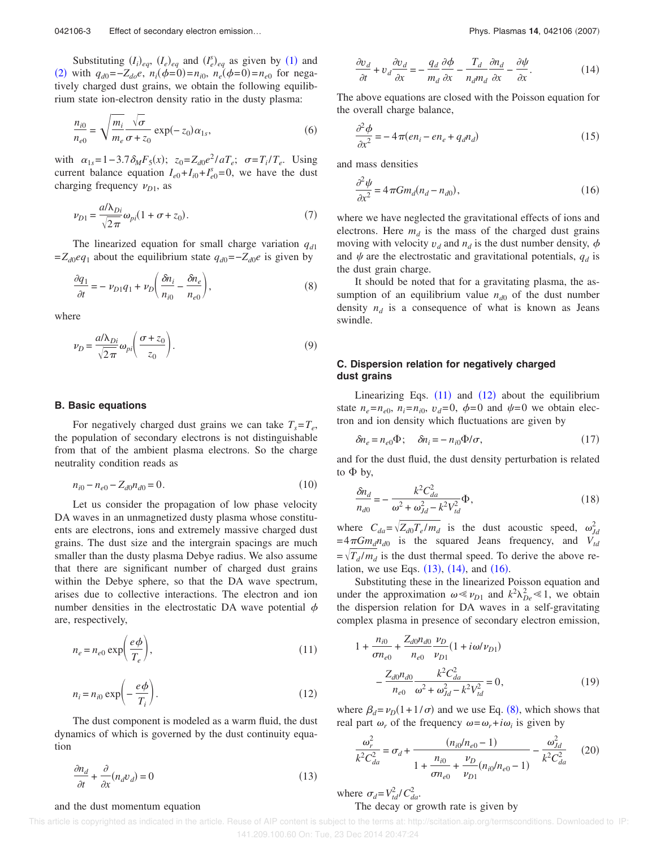Substituting  $(I_i)_{eq}$ ,  $(I_e)_{eq}$  and  $(I_e^s)_{eq}$  as given by (1) and (2) with  $q_{d0} = -Z_{d0}e$ ,  $n_i(\phi=0) = n_{i0}$ ,  $n_e(\phi=0) = n_{e0}$  for negatively charged dust grains, we obtain the following equilibrium state ion-electron density ratio in the dusty plasma:

$$
\frac{n_{i0}}{n_{e0}} = \sqrt{\frac{m_i}{m_e}} \frac{\sqrt{\sigma}}{\sigma + z_0} \exp(-z_0) \alpha_{1s},\tag{6}
$$

with  $\alpha_{1s} = 1 - 3.7 \delta_M F_5(x)$ ;  $z_0 = Z_{d0} e^{2} / aT_e$ ;  $\sigma = T_i / T_e$ . Using current balance equation  $I_{e0} + I_{i0} + I_{e0}^s = 0$ , we have the dust charging frequency  $\nu_{D1}$ , as

$$
\nu_{D1} = \frac{a/\lambda_{Di}}{\sqrt{2\pi}} \omega_{pi} (1 + \sigma + z_0). \tag{7}
$$

The linearized equation for small charge variation *qd*<sup>1</sup>  $=Z_{d0}eq_1$  about the equilibrium state  $q_{d0}=-Z_{d0}e$  is given by

$$
\frac{\partial q_1}{\partial t} = -\nu_{D1}q_1 + \nu_D \bigg(\frac{\delta n_i}{n_{i0}} - \frac{\delta n_e}{n_{e0}}\bigg),\tag{8}
$$

where

$$
\nu_D = \frac{a/\lambda_{Di}}{\sqrt{2\pi}} \omega_{pi} \left(\frac{\sigma + z_0}{z_0}\right). \tag{9}
$$

#### **B. Basic equations**

For negatively charged dust grains we can take  $T_s = T_e$ , the population of secondary electrons is not distinguishable from that of the ambient plasma electrons. So the charge neutrality condition reads as

$$
n_{i0} - n_{e0} - Z_{d0}n_{d0} = 0.
$$
\n(10)

Let us consider the propagation of low phase velocity DA waves in an unmagnetized dusty plasma whose constituents are electrons, ions and extremely massive charged dust grains. The dust size and the intergrain spacings are much smaller than the dusty plasma Debye radius. We also assume that there are significant number of charged dust grains within the Debye sphere, so that the DA wave spectrum, arises due to collective interactions. The electron and ion number densities in the electrostatic DA wave potential  $\phi$ are, respectively,

$$
n_e = n_{e0} \exp\left(\frac{e\phi}{T_e}\right),\tag{11}
$$

$$
n_i = n_{i0} \exp\left(-\frac{e\phi}{T_i}\right). \tag{12}
$$

The dust component is modeled as a warm fluid, the dust dynamics of which is governed by the dust continuity equation

$$
\frac{\partial n_d}{\partial t} + \frac{\partial}{\partial x}(n_d v_d) = 0\tag{13}
$$

and the dust momentum equation

$$
\frac{\partial v_d}{\partial t} + v_d \frac{\partial v_d}{\partial x} = -\frac{q_d}{m_d} \frac{\partial \phi}{\partial x} - \frac{T_d}{n_d m_d} \frac{\partial n_d}{\partial x} - \frac{\partial \psi}{\partial x}.
$$
(14)

The above equations are closed with the Poisson equation for the overall charge balance,

$$
\frac{\partial^2 \phi}{\partial x^2} = -4\pi (en_i - en_e + q_d n_d)
$$
\n(15)

and mass densities

$$
\frac{\partial^2 \psi}{\partial x^2} = 4\pi G m_d (n_d - n_{d0}),\tag{16}
$$

where we have neglected the gravitational effects of ions and electrons. Here  $m_d$  is the mass of the charged dust grains moving with velocity  $v_d$  and  $n_d$  is the dust number density,  $\phi$ and  $\psi$  are the electrostatic and gravitational potentials,  $q_d$  is the dust grain charge.

It should be noted that for a gravitating plasma, the assumption of an equilibrium value  $n_{d0}$  of the dust number density  $n_d$  is a consequence of what is known as Jeans swindle.

# **C. Dispersion relation for negatively charged dust grains**

Linearizing Eqs.  $(11)$  and  $(12)$  about the equilibrium state  $n_e = n_{e0}$ ,  $n_i = n_{i0}$ ,  $v_d = 0$ ,  $\phi = 0$  and  $\psi = 0$  we obtain electron and ion density which fluctuations are given by

$$
\delta n_e = n_{e0} \Phi; \quad \delta n_i = -n_{i0} \Phi / \sigma,
$$
\n(17)

and for the dust fluid, the dust density perturbation is related to  $\Phi$  by,

$$
\frac{\delta n_d}{n_{d0}} = -\frac{k^2 C_{da}^2}{\omega^2 + \omega_{Jd}^2 - k^2 V_{td}^2} \Phi,
$$
\n(18)

where  $C_{da} = \sqrt{Z_{d0}T_e/m_d}$  is the dust acoustic speed,  $\omega_d^2$  $=4\pi G m_d n_{d0}$  is the squared Jeans frequency, and  $V_{td}$  $=\sqrt{T_d/m_d}$  is the dust thermal speed. To derive the above relation, we use Eqs.  $(13)$ ,  $(14)$ , and  $(16)$ .

Substituting these in the linearized Poisson equation and under the approximation  $\omega \ll \nu_{D1}$  and  $k^2 \lambda_{De}^2 \ll 1$ , we obtain the dispersion relation for DA waves in a self-gravitating complex plasma in presence of secondary electron emission,

$$
1 + \frac{n_{i0}}{\sigma n_{e0}} + \frac{Z_{d0}n_{d0}}{n_{e0}} \frac{\nu_D}{\nu_{D1}} (1 + i\omega/\nu_{D1})
$$

$$
- \frac{Z_{d0}n_{d0}}{n_{e0}} \frac{k^2 C_{da}^2}{\omega^2 + \omega_{dd}^2 - k^2 V_{td}^2} = 0,
$$
(19)

where  $\beta_d = \nu_D(1 + 1/\sigma)$  and we use Eq. (8), which shows that real part  $\omega_r$  of the frequency  $\omega = \omega_r + i\omega_i$  is given by

$$
\frac{\omega_r^2}{k^2 C_{da}^2} = \sigma_d + \frac{(n_{i0}/n_{e0} - 1)}{1 + \frac{n_{i0}}{\sigma n_{e0}} + \frac{\nu_D}{\nu_{D1}} (n_{i0}/n_{e0} - 1)} - \frac{\omega_{dd}^2}{k^2 C_{da}^2} \tag{20}
$$

where  $\sigma_d = V_{td}^2 / C_{da}^2$ .

# The decay or growth rate is given by

This article is copyrighted as indicated in the article. Reuse of AIP content is subject to the terms at: http://scitation.aip.org/termsconditions. Downloaded to IP: 141.209.100.60 On: Tue, 23 Dec 2014 20:47:24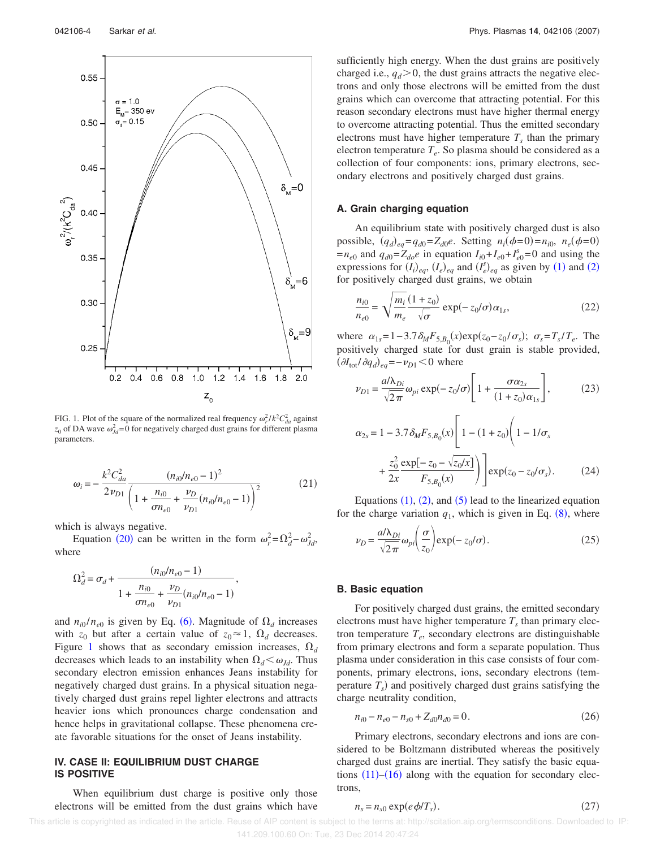

FIG. 1. Plot of the square of the normalized real frequency  $\omega_r^2 / k^2 C_{da}^2$  against  $z_0$  of DA wave  $\omega_{Jd}^2$ =0 for negatively charged dust grains for different plasma parameters.

$$
\omega_i = -\frac{k^2 C_{da}^2}{2\nu_{D1}} \frac{(n_{i0}/n_{e0} - 1)^2}{\left(1 + \frac{n_{i0}}{\sigma n_{e0}} + \frac{\nu_D}{\nu_{D1}}(n_{i0}/n_{e0} - 1)\right)^2}
$$
(21)

which is always negative.

Equation (20) can be written in the form  $\omega_r^2 = \Omega_d^2 - \omega_{Jd}^2$ , where

$$
\Omega_d^2 = \sigma_d + \frac{(n_{i0}/n_{e0} - 1)}{1 + \frac{n_{i0}}{\sigma n_{e0}} + \frac{\nu_D}{\nu_{D1}}(n_{i0}/n_{e0} - 1)},
$$

and  $n_{i0}/n_{e0}$  is given by Eq. (6). Magnitude of  $\Omega_d$  increases with  $z_0$  but after a certain value of  $z_0 \approx 1$ ,  $\Omega_d$  decreases. Figure 1 shows that as secondary emission increases,  $\Omega_d$ decreases which leads to an instability when  $\Omega_d < \omega_{dd}$ . Thus secondary electron emission enhances Jeans instability for negatively charged dust grains. In a physical situation negatively charged dust grains repel lighter electrons and attracts heavier ions which pronounces charge condensation and hence helps in gravitational collapse. These phenomena create favorable situations for the onset of Jeans instability.

# **IV. CASE II: EQUILIBRIUM DUST CHARGE IS POSITIVE**

When equilibrium dust charge is positive only those electrons will be emitted from the dust grains which have sufficiently high energy. When the dust grains are positively charged i.e.,  $q_d$  > 0, the dust grains attracts the negative electrons and only those electrons will be emitted from the dust grains which can overcome that attracting potential. For this reason secondary electrons must have higher thermal energy to overcome attracting potential. Thus the emitted secondary electrons must have higher temperature  $T<sub>s</sub>$  than the primary electron temperature *T<sup>e</sup>* . So plasma should be considered as a collection of four components: ions, primary electrons, secondary electrons and positively charged dust grains.

### **A. Grain charging equation**

An equilibrium state with positively charged dust is also possible,  $(q_d)_{eq} = q_{d0} = Z_{d0}e$ . Setting  $n_i(\phi = 0) = n_{i0}$ ,  $n_e(\phi = 0)$  $=n_{e0}$  and  $q_{d0}=Z_{do}e$  in equation  $I_{i0}+I_{e0}+I_{e0}^s=0$  and using the expressions for  $(I_i)_{eq}$ ,  $(I_e)_{eq}$  and  $(I_e^s)_{eq}$  as given by (1) and (2) for positively charged dust grains, we obtain

$$
\frac{n_{i0}}{n_{e0}} = \sqrt{\frac{m_i}{m_e}} \frac{(1+z_0)}{\sqrt{\sigma}} \exp(-z_0/\sigma) \alpha_{1s},\qquad(22)
$$

where  $\alpha_{1s} = 1 - 3.7 \delta_M F_{5,B_0}(x) \exp(z_0 - z_0/\sigma_s); \ \sigma_s = T_s/T_e.$  The positively charged state for dust grain is stable provided,  $(\partial I_{\text{tot}}/\partial q_d)_{eq} = -\nu_{D1} < 0$  where

$$
\nu_{D1} = \frac{a/\lambda_{Di}}{\sqrt{2\pi}} \omega_{pi} \exp(-z_0/\sigma) \left[ 1 + \frac{\sigma \alpha_{2s}}{(1+z_0)\alpha_{1s}} \right],\tag{23}
$$

$$
\alpha_{2s} = 1 - 3.7 \delta_M F_{5,B_0}(x) \left[ 1 - (1 + z_0) \left( 1 - 1/\sigma_s \right) + \frac{z_0^2}{2x} \frac{\exp[-z_0 - \sqrt{z_0/x}]}{F_{5,B_0}(x)} \right] \right] \exp(z_0 - z_0/\sigma_s). \tag{24}
$$

Equations  $(1)$ ,  $(2)$ , and  $(5)$  lead to the linearized equation for the charge variation  $q_1$ , which is given in Eq.  $(8)$ , where

$$
\nu_D = \frac{a/\lambda_{Di}}{\sqrt{2\pi}} \omega_{pi} \left(\frac{\sigma}{z_0}\right) \exp(-z_0/\sigma). \tag{25}
$$

### **B. Basic equation**

For positively charged dust grains, the emitted secondary electrons must have higher temperature  $T<sub>s</sub>$  than primary electron temperature *T<sup>e</sup>* , secondary electrons are distinguishable from primary electrons and form a separate population. Thus plasma under consideration in this case consists of four components, primary electrons, ions, secondary electrons (temperature  $T<sub>s</sub>$ ) and positively charged dust grains satisfying the charge neutrality condition,

$$
n_{i0} - n_{e0} - n_{s0} + Z_{d0}n_{d0} = 0.
$$
 (26)

Primary electrons, secondary electrons and ions are considered to be Boltzmann distributed whereas the positively charged dust grains are inertial. They satisfy the basic equations  $(11)$ – $(16)$  along with the equation for secondary electrons,

$$
n_s = n_{s0} \exp(e\phi/T_s). \tag{27}
$$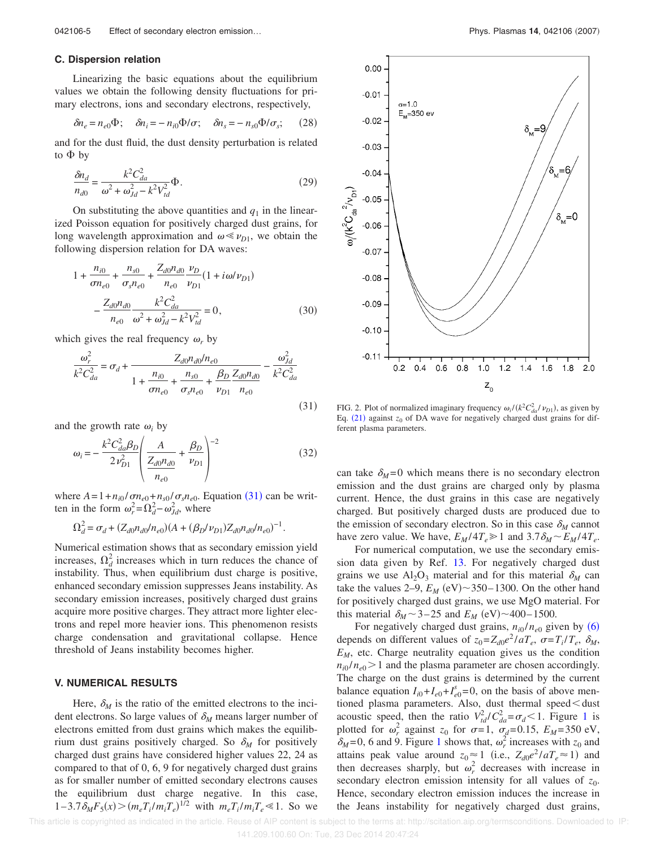### **C. Dispersion relation**

Linearizing the basic equations about the equilibrium values we obtain the following density fluctuations for primary electrons, ions and secondary electrons, respectively,

$$
\delta n_e = n_{e0} \Phi; \quad \delta n_i = -n_{i0} \Phi / \sigma; \quad \delta n_s = -n_{s0} \Phi / \sigma_s; \quad (28)
$$

and for the dust fluid, the dust density perturbation is related to  $\Phi$  by

$$
\frac{\delta n_d}{n_{d0}} = \frac{k^2 C_{da}^2}{\omega^2 + \omega_{Jd}^2 - k^2 V_{td}^2} \Phi.
$$
\n(29)

On substituting the above quantities and  $q_1$  in the linearized Poisson equation for positively charged dust grains, for long wavelength approximation and  $\omega \ll \nu_{D1}$ , we obtain the following dispersion relation for DA waves:

$$
1 + \frac{n_{i0}}{\sigma n_{e0}} + \frac{n_{s0}}{\sigma_s n_{e0}} + \frac{Z_{d0} n_{d0}}{n_{e0}} \frac{\nu_D}{\nu_{D1}} (1 + i\omega/\nu_{D1})
$$

$$
- \frac{Z_{d0} n_{d0}}{n_{e0}} \frac{k^2 C_{da}^2}{\omega^2 + \omega_{Jd}^2 - k^2 V_{td}^2} = 0,
$$
(30)

which gives the real frequency  $\omega_r$  by

$$
\frac{\omega_r^2}{k^2 C_{da}^2} = \sigma_d + \frac{Z_{d0} n_{d0} / n_{e0}}{1 + \frac{n_{i0}}{\sigma n_{e0}} + \frac{n_{s0}}{\sigma_s n_{e0}} + \frac{\beta_D}{\nu_{D1}} \frac{Z_{d0} n_{d0}}{n_{e0}}} - \frac{\omega_{Jd}^2}{k^2 C_{da}^2}
$$
\n(31)

and the growth rate  $\omega_i$  by

$$
\omega_i = -\frac{k^2 C_{da}^2 \beta_D}{2 v_{D1}^2} \left( \frac{A}{\frac{Z_{d0} n_{d0}}{n_{e0}}} + \frac{\beta_D}{v_{D1}} \right)^{-2}
$$
(32)

where  $A = 1 + n_{i0} / \sigma n_{e0} + n_{s0} / \sigma s n_{e0}$ . Equation (31) can be written in the form  $\omega_r^2 = \Omega_d^2 - \omega_{Jd}^2$ , where

$$
\Omega_d^2 = \sigma_d + (Z_{d0}n_{d0}/n_{e0})(A + (\beta_D/\nu_{D1})Z_{d0}n_{d0}/n_{e0})^{-1}.
$$

Numerical estimation shows that as secondary emission yield increases,  $\Omega_d^2$  increases which in turn reduces the chance of instability. Thus, when equilibrium dust charge is positive, enhanced secondary emission suppresses Jeans instability. As secondary emission increases, positively charged dust grains acquire more positive charges. They attract more lighter electrons and repel more heavier ions. This phenomenon resists charge condensation and gravitational collapse. Hence threshold of Jeans instability becomes higher.

### **V. NUMERICAL RESULTS**

Here,  $\delta_M$  is the ratio of the emitted electrons to the incident electrons. So large values of  $\delta_M$  means larger number of electrons emitted from dust grains which makes the equilibrium dust grains positively charged. So  $\delta_M$  for positively charged dust grains have considered higher values 22, 24 as compared to that of 0, 6, 9 for negatively charged dust grains as for smaller number of emitted secondary electrons causes the equilibrium dust charge negative. In this case,  $1-3.7 \delta_M F_5(x) > (m_e T_i/m_i T_e)^{1/2}$  with  $m_e T_i/m_i T_e \le 1$ . So we



FIG. 2. Plot of normalized imaginary frequency  $\omega_i / (k^2 C_{da}^2 / \nu_{D1})$ , as given by Eq.  $(21)$  against  $z_0$  of DA wave for negatively charged dust grains for different plasma parameters.

can take  $\delta_M = 0$  which means there is no secondary electron emission and the dust grains are charged only by plasma current. Hence, the dust grains in this case are negatively charged. But positively charged dusts are produced due to the emission of secondary electron. So in this case  $\delta_M$  cannot have zero value. We have,  $E_M/4T_e \ge 1$  and  $3.7\delta_M \sim E_M/4T_e$ .

For numerical computation, we use the secondary emission data given by Ref. 13. For negatively charged dust grains we use  $Al_2O_3$  material and for this material  $\delta_M$  can take the values  $2-9$ ,  $E_M$  (eV) $\sim$ 350–1300. On the other hand for positively charged dust grains, we use MgO material. For this material  $\delta_M \sim 3-25$  and  $E_M$  (eV) $\sim$ 400-1500.

For negatively charged dust grains,  $n_{i0}/n_{e0}$  given by (6) depends on different values of  $z_0 = Z_{d0}e^2/aT_e$ ,  $\sigma = T_i/T_e$ ,  $\delta_M$ ,  $E_M$ , etc. Charge neutrality equation gives us the condition  $n_{i0}/n_{e0}$  > 1 and the plasma parameter are chosen accordingly. The charge on the dust grains is determined by the current balance equation  $I_{i0} + I_{e0} + I_{e0}^s = 0$ , on the basis of above mentioned plasma parameters. Also, dust thermal speed $<$ dust acoustic speed, then the ratio  $V_{td}^2/C_{da}^2 = \sigma_d < 1$ . Figure 1 is plotted for  $\omega_r^2$  against  $z_0$  for  $\sigma = 1$ ,  $\sigma_d = 0.15$ ,  $E_M = 350$  eV,  $\delta_M$ =0, 6 and 9. Figure 1 shows that,  $\omega_r^2$  increases with  $z_0$  and attains peak value around  $z_0 \approx 1$  (i.e.,  $Z_{d0}e^2/aT_e \approx 1$ ) and then decreases sharply, but  $\omega_r^2$  decreases with increase in secondary electron emission intensity for all values of  $z_0$ . Hence, secondary electron emission induces the increase in the Jeans instability for negatively charged dust grains,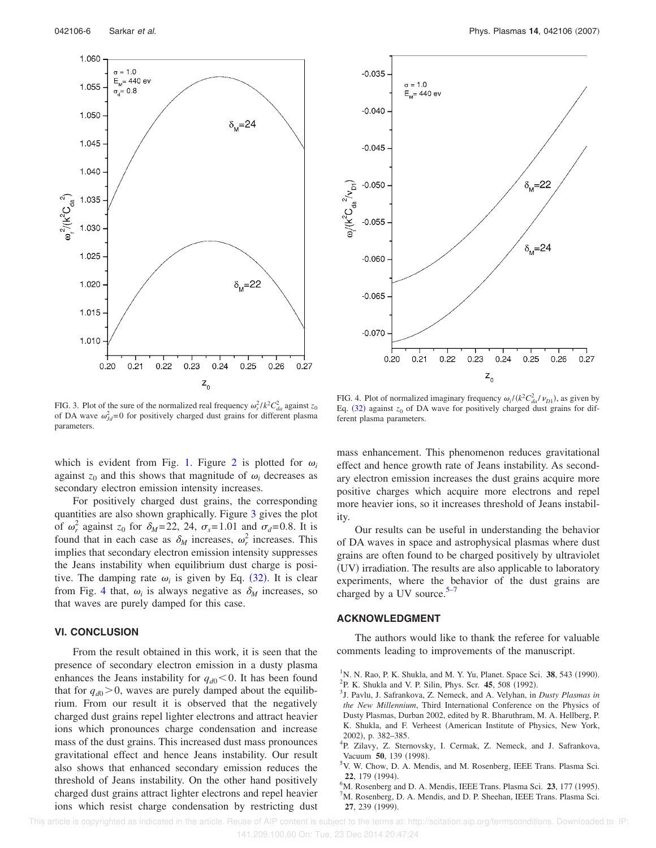

042106-6 Sarkar *et al.* Phys. Plasmas **14**, 042106 (2007)



FIG. 3. Plot of the sure of the normalized real frequency  $\omega_r^2 / k^2 C_{da}^2$  against  $z_0$ of DA wave  $\omega_{Jd}^2 = 0$  for positively charged dust grains for different plasma parameters.

which is evident from Fig. 1. Figure 2 is plotted for  $\omega_i$ against  $z_0$  and this shows that magnitude of  $\omega_i$  decreases as secondary electron emission intensity increases.

For positively charged dust grains, the corresponding quantities are also shown graphically. Figure 3 gives the plot of  $\omega_r^2$  against  $z_0$  for  $\delta_M = 22$ , 24,  $\sigma_s = 1.01$  and  $\sigma_d = 0.8$ . It is found that in each case as  $\delta_M$  increases,  $\omega_r^2$  increases. This implies that secondary electron emission intensity suppresses the Jeans instability when equilibrium dust charge is positive. The damping rate  $\omega_i$  is given by Eq. (32). It is clear from Fig. 4 that,  $\omega_i$  is always negative as  $\delta_M$  increases, so that waves are purely damped for this case.

### **VI. CONCLUSION**

From the result obtained in this work, it is seen that the presence of secondary electron emission in a dusty plasma enhances the Jeans instability for  $q_{d0}$  < 0. It has been found that for  $q_{d0}$  > 0, waves are purely damped about the equilibrium. From our result it is observed that the negatively charged dust grains repel lighter electrons and attract heavier ions which pronounces charge condensation and increase mass of the dust grains. This increased dust mass pronounces gravitational effect and hence Jeans instability. Our result also shows that enhanced secondary emission reduces the threshold of Jeans instability. On the other hand positively charged dust grains attract lighter electrons and repel heavier ions which resist charge condensation by restricting dust

FIG. 4. Plot of normalized imaginary frequency  $\omega_i / (k^2 C_{da}^2 / \nu_{D1})$ , as given by Eq.  $(32)$  against  $z_0$  of DA wave for positively charged dust grains for different plasma parameters.

mass enhancement. This phenomenon reduces gravitational effect and hence growth rate of Jeans instability. As secondary electron emission increases the dust grains acquire more positive charges which acquire more electrons and repel more heavier ions, so it increases threshold of Jeans instability.

Our results can be useful in understanding the behavior of DA waves in space and astrophysical plasmas where dust grains are often found to be charged positively by ultraviolet (UV) irradiation. The results are also applicable to laboratory experiments, where the behavior of the dust grains are charged by a UV source. $5-7$ 

### **ACKNOWLEDGMENT**

The authors would like to thank the referee for valuable comments leading to improvements of the manuscript.

- 3 J. Pavlu, J. Safrankova, Z. Nemeck, and A. Velyhan, in *Dusty Plasmas in the New Millennium*, Third International Conference on the Physics of Dusty Plasmas, Durban 2002, edited by R. Bharuthram, M. A. Hellberg, P. K. Shukla, and F. Verheest (American Institute of Physics, New York, 2002), p. 382–385.
- <sup>4</sup>P. Zilavy, Z. Sternovsky, I. Cermak, Z. Nemeck, and J. Safrankova, Vacuum 50, 139 (1998).
- <sup>5</sup>V. W. Chow, D. A. Mendis, and M. Rosenberg, IEEE Trans. Plasma Sci. 22, 179 (1994).
- <sup>6</sup>M. Rosenberg and D. A. Mendis, IEEE Trans. Plasma Sci. 23, 177 (1995).

M. Rosenberg, D. A. Mendis, and D. P. Sheehan, IEEE Trans. Plasma Sci. **27**, 239 (1999).

<sup>&</sup>lt;sup>1</sup> N. N. Rao, P. K. Shukla, and M. Y. Yu, Planet. Space Sci. 38, 543 (1990). <sup>2</sup>P. K. Shukla and V. P. Silin, Phys. Scr. 45, 508 (1992).